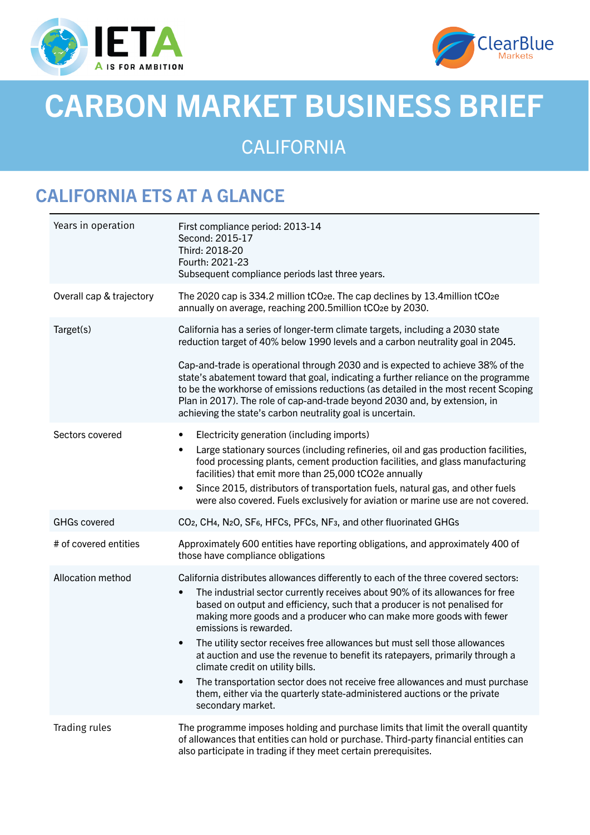



# CARBON MARKET BUSINESS BRIEF

CALIFORNIA

# CALIFORNIA ETS AT A GLANCE

| Years in operation       | First compliance period: 2013-14<br>Second: 2015-17<br>Third: 2018-20<br>Fourth: 2021-23<br>Subsequent compliance periods last three years.                                                                                                                                                                                                                                                                                                                                                                                                                                                                                                                                                                                                                            |
|--------------------------|------------------------------------------------------------------------------------------------------------------------------------------------------------------------------------------------------------------------------------------------------------------------------------------------------------------------------------------------------------------------------------------------------------------------------------------------------------------------------------------------------------------------------------------------------------------------------------------------------------------------------------------------------------------------------------------------------------------------------------------------------------------------|
| Overall cap & trajectory | The 2020 cap is 334.2 million tCO <sub>2</sub> e. The cap declines by 13.4 million tCO <sub>2</sub> e<br>annually on average, reaching 200.5million tCO <sub>2</sub> e by 2030.                                                                                                                                                                                                                                                                                                                                                                                                                                                                                                                                                                                        |
| Target(s)                | California has a series of longer-term climate targets, including a 2030 state<br>reduction target of 40% below 1990 levels and a carbon neutrality goal in 2045.                                                                                                                                                                                                                                                                                                                                                                                                                                                                                                                                                                                                      |
|                          | Cap-and-trade is operational through 2030 and is expected to achieve 38% of the<br>state's abatement toward that goal, indicating a further reliance on the programme<br>to be the workhorse of emissions reductions (as detailed in the most recent Scoping<br>Plan in 2017). The role of cap-and-trade beyond 2030 and, by extension, in<br>achieving the state's carbon neutrality goal is uncertain.                                                                                                                                                                                                                                                                                                                                                               |
| Sectors covered          | Electricity generation (including imports)<br>$\bullet$<br>Large stationary sources (including refineries, oil and gas production facilities,<br>$\bullet$<br>food processing plants, cement production facilities, and glass manufacturing<br>facilities) that emit more than 25,000 tCO2e annually<br>Since 2015, distributors of transportation fuels, natural gas, and other fuels<br>٠<br>were also covered. Fuels exclusively for aviation or marine use are not covered.                                                                                                                                                                                                                                                                                        |
| <b>GHGs covered</b>      | CO <sub>2</sub> , CH <sub>4</sub> , N <sub>2</sub> O, SF <sub>6</sub> , HFC <sub>s</sub> , PFC <sub>s</sub> , NF <sub>3</sub> , and other fluorinated GHG <sub>S</sub>                                                                                                                                                                                                                                                                                                                                                                                                                                                                                                                                                                                                 |
| # of covered entities    | Approximately 600 entities have reporting obligations, and approximately 400 of<br>those have compliance obligations                                                                                                                                                                                                                                                                                                                                                                                                                                                                                                                                                                                                                                                   |
| <b>Allocation method</b> | California distributes allowances differently to each of the three covered sectors:<br>The industrial sector currently receives about 90% of its allowances for free<br>$\bullet$<br>based on output and efficiency, such that a producer is not penalised for<br>making more goods and a producer who can make more goods with fewer<br>emissions is rewarded.<br>The utility sector receives free allowances but must sell those allowances<br>٠<br>at auction and use the revenue to benefit its ratepayers, primarily through a<br>climate credit on utility bills.<br>The transportation sector does not receive free allowances and must purchase<br>$\bullet$<br>them, either via the quarterly state-administered auctions or the private<br>secondary market. |
| Trading rules            | The programme imposes holding and purchase limits that limit the overall quantity<br>of allowances that entities can hold or purchase. Third-party financial entities can<br>also participate in trading if they meet certain prerequisites.                                                                                                                                                                                                                                                                                                                                                                                                                                                                                                                           |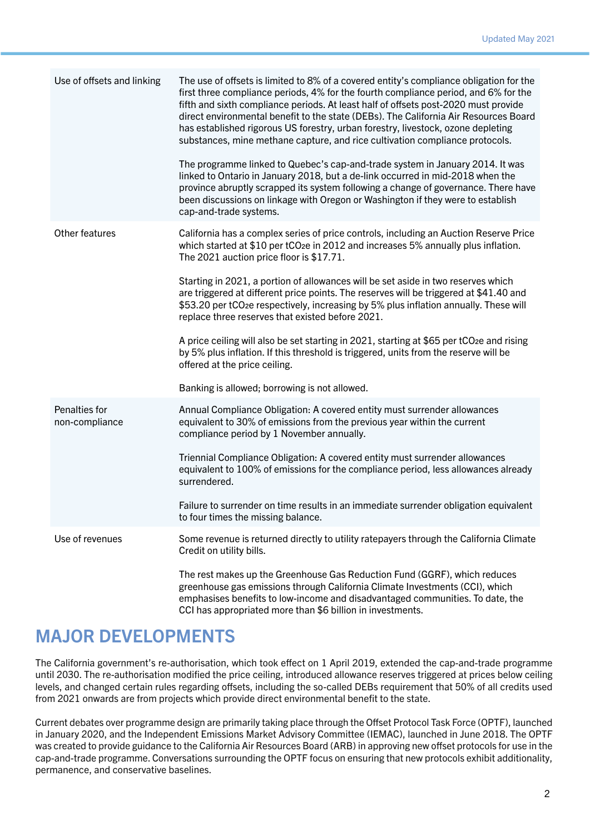| Use of offsets and linking      | The use of offsets is limited to 8% of a covered entity's compliance obligation for the<br>first three compliance periods, 4% for the fourth compliance period, and 6% for the<br>fifth and sixth compliance periods. At least half of offsets post-2020 must provide<br>direct environmental benefit to the state (DEBs). The California Air Resources Board<br>has established rigorous US forestry, urban forestry, livestock, ozone depleting<br>substances, mine methane capture, and rice cultivation compliance protocols.<br>The programme linked to Quebec's cap-and-trade system in January 2014. It was<br>linked to Ontario in January 2018, but a de-link occurred in mid-2018 when the<br>province abruptly scrapped its system following a change of governance. There have<br>been discussions on linkage with Oregon or Washington if they were to establish<br>cap-and-trade systems. |
|---------------------------------|---------------------------------------------------------------------------------------------------------------------------------------------------------------------------------------------------------------------------------------------------------------------------------------------------------------------------------------------------------------------------------------------------------------------------------------------------------------------------------------------------------------------------------------------------------------------------------------------------------------------------------------------------------------------------------------------------------------------------------------------------------------------------------------------------------------------------------------------------------------------------------------------------------|
| Other features                  | California has a complex series of price controls, including an Auction Reserve Price<br>which started at \$10 per tCO <sub>2</sub> e in 2012 and increases 5% annually plus inflation.<br>The 2021 auction price floor is \$17.71.<br>Starting in 2021, a portion of allowances will be set aside in two reserves which<br>are triggered at different price points. The reserves will be triggered at \$41.40 and<br>\$53.20 per tCO2e respectively, increasing by 5% plus inflation annually. These will<br>replace three reserves that existed before 2021.<br>A price ceiling will also be set starting in 2021, starting at \$65 per tCO <sub>2</sub> e and rising<br>by 5% plus inflation. If this threshold is triggered, units from the reserve will be<br>offered at the price ceiling.<br>Banking is allowed; borrowing is not allowed.                                                       |
| Penalties for<br>non-compliance | Annual Compliance Obligation: A covered entity must surrender allowances<br>equivalent to 30% of emissions from the previous year within the current<br>compliance period by 1 November annually.<br>Triennial Compliance Obligation: A covered entity must surrender allowances<br>equivalent to 100% of emissions for the compliance period, less allowances already<br>surrendered.<br>Failure to surrender on time results in an immediate surrender obligation equivalent<br>to four times the missing balance                                                                                                                                                                                                                                                                                                                                                                                     |
| Use of revenues                 | Some revenue is returned directly to utility ratepayers through the California Climate<br>Credit on utility bills.<br>The rest makes up the Greenhouse Gas Reduction Fund (GGRF), which reduces<br>greenhouse gas emissions through California Climate Investments (CCI), which<br>emphasises benefits to low-income and disadvantaged communities. To date, the<br>CCI has appropriated more than \$6 billion in investments.                                                                                                                                                                                                                                                                                                                                                                                                                                                                          |

### MAJOR DEVELOPMENTS

The California government's re-authorisation, which took effect on 1 April 2019, extended the cap-and-trade programme until 2030. The re-authorisation modified the price ceiling, introduced allowance reserves triggered at prices below ceiling levels, and changed certain rules regarding offsets, including the so-called DEBs requirement that 50% of all credits used from 2021 onwards are from projects which provide direct environmental benefit to the state.

Current debates over programme design are primarily taking place through the Offset Protocol Task Force (OPTF), launched in January 2020, and the Independent Emissions Market Advisory Committee (IEMAC), launched in June 2018. The OPTF was created to provide guidance to the California Air Resources Board (ARB) in approving new offset protocols for use in the cap-and-trade programme. Conversations surrounding the OPTF focus on ensuring that new protocols exhibit additionality, permanence, and conservative baselines.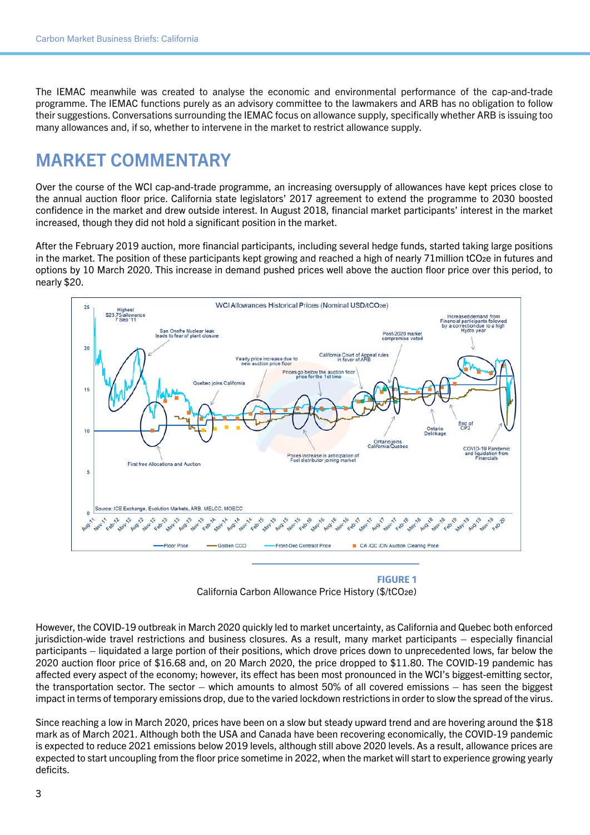The IEMAC meanwhile was created to analyse the economic and environmental performance of the cap-and-trade programme. The IEMAC functions purely as an advisory committee to the lawmakers and ARB has no obligation to follow their suggestions. Conversations surrounding the IEMAC focus on allowance supply, specifically whether ARB is issuing too many allowances and, if so, whether to intervene in the market to restrict allowance supply.

# MARKET COMMENTARY

Over the course of the WCI cap-and-trade programme, an increasing oversupply of allowances have kept prices close to the annual auction floor price. California state legislators' 2017 agreement to extend the programme to 2030 boosted confidence in the market and drew outside interest. In August 2018, financial market participants' interest in the market increased, though they did not hold a significant position in the market.

After the February 2019 auction, more financial participants, including several hedge funds, started taking large positions in the market. The position of these participants kept growing and reached a high of nearly 71million tCO2e in futures and options by 10 March 2020. This increase in demand pushed prices well above the auction floor price over this period, to nearly \$20.



**FIGURE 1** California Carbon Allowance Price History (\$/tCO2e)

However, the COVID-19 outbreak in March 2020 quickly led to market uncertainty, as California and Quebec both enforced jurisdiction-wide travel restrictions and business closures. As a result, many market participants – especially financial participants – liquidated a large portion of their positions, which drove prices down to unprecedented lows, far below the 2020 auction floor price of \$16.68 and, on 20 March 2020, the price dropped to \$11.80. The COVID-19 pandemic has affected every aspect of the economy; however, its effect has been most pronounced in the WCI's biggest-emitting sector, the transportation sector. The sector – which amounts to almost 50% of all covered emissions – has seen the biggest impact in terms of temporary emissions drop, due to the varied lockdown restrictions in order to slow the spread of the virus.

Since reaching a low in March 2020, prices have been on a slow but steady upward trend and are hovering around the \$18 mark as of March 2021. Although both the USA and Canada have been recovering economically, the COVID-19 pandemic is expected to reduce 2021 emissions below 2019 levels, although still above 2020 levels. As a result, allowance prices are expected to start uncoupling from the floor price sometime in 2022, when the market will start to experience growing yearly deficits.